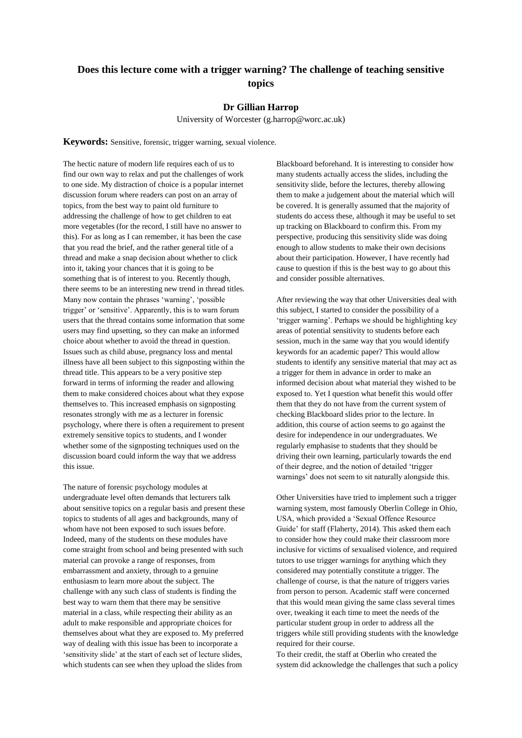## **Does this lecture come with a trigger warning? The challenge of teaching sensitive topics**

## **Dr Gillian Harrop**

University of Worcester (g.harrop@worc.ac.uk)

**Keywords:** Sensitive, forensic, trigger warning, sexual violence.

The hectic nature of modern life requires each of us to find our own way to relax and put the challenges of work to one side. My distraction of choice is a popular internet discussion forum where readers can post on an array of topics, from the best way to paint old furniture to addressing the challenge of how to get children to eat more vegetables (for the record, I still have no answer to this). For as long as I can remember, it has been the case that you read the brief, and the rather general title of a thread and make a snap decision about whether to click into it, taking your chances that it is going to be something that is of interest to you. Recently though, there seems to be an interesting new trend in thread titles. Many now contain the phrases 'warning', 'possible trigger' or 'sensitive'. Apparently, this is to warn forum users that the thread contains some information that some users may find upsetting, so they can make an informed choice about whether to avoid the thread in question. Issues such as child abuse, pregnancy loss and mental illness have all been subject to this signposting within the thread title. This appears to be a very positive step forward in terms of informing the reader and allowing them to make considered choices about what they expose themselves to. This increased emphasis on signposting resonates strongly with me as a lecturer in forensic psychology, where there is often a requirement to present extremely sensitive topics to students, and I wonder whether some of the signposting techniques used on the discussion board could inform the way that we address this issue.

The nature of forensic psychology modules at undergraduate level often demands that lecturers talk about sensitive topics on a regular basis and present these topics to students of all ages and backgrounds, many of whom have not been exposed to such issues before. Indeed, many of the students on these modules have come straight from school and being presented with such material can provoke a range of responses, from embarrassment and anxiety, through to a genuine enthusiasm to learn more about the subject. The challenge with any such class of students is finding the best way to warn them that there may be sensitive material in a class, while respecting their ability as an adult to make responsible and appropriate choices for themselves about what they are exposed to. My preferred way of dealing with this issue has been to incorporate a 'sensitivity slide' at the start of each set of lecture slides, which students can see when they upload the slides from

Blackboard beforehand. It is interesting to consider how many students actually access the slides, including the sensitivity slide, before the lectures, thereby allowing them to make a judgement about the material which will be covered. It is generally assumed that the majority of students do access these, although it may be useful to set up tracking on Blackboard to confirm this. From my perspective, producing this sensitivity slide was doing enough to allow students to make their own decisions about their participation. However, I have recently had cause to question if this is the best way to go about this and consider possible alternatives.

After reviewing the way that other Universities deal with this subject, I started to consider the possibility of a 'trigger warning'. Perhaps we should be highlighting key areas of potential sensitivity to students before each session, much in the same way that you would identify keywords for an academic paper? This would allow students to identify any sensitive material that may act as a trigger for them in advance in order to make an informed decision about what material they wished to be exposed to. Yet I question what benefit this would offer them that they do not have from the current system of checking Blackboard slides prior to the lecture. In addition, this course of action seems to go against the desire for independence in our undergraduates. We regularly emphasise to students that they should be driving their own learning, particularly towards the end of their degree, and the notion of detailed 'trigger warnings' does not seem to sit naturally alongside this.

Other Universities have tried to implement such a trigger warning system, most famously Oberlin College in Ohio, USA, which provided a 'Sexual Offence Resource Guide' for staff (Flaherty, 2014). This asked them each to consider how they could make their classroom more inclusive for victims of sexualised violence, and required tutors to use trigger warnings for anything which they considered may potentially constitute a trigger. The challenge of course, is that the nature of triggers varies from person to person. Academic staff were concerned that this would mean giving the same class several times over, tweaking it each time to meet the needs of the particular student group in order to address all the triggers while still providing students with the knowledge required for their course.

To their credit, the staff at Oberlin who created the system did acknowledge the challenges that such a policy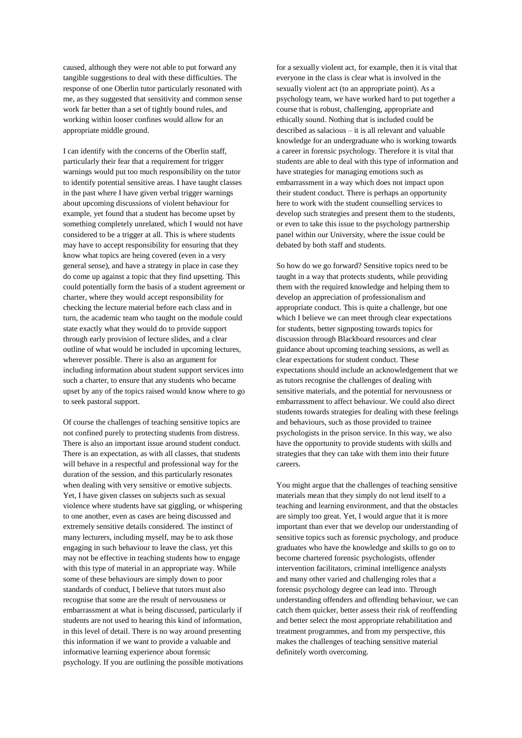caused, although they were not able to put forward any tangible suggestions to deal with these difficulties. The response of one Oberlin tutor particularly resonated with me, as they suggested that sensitivity and common sense work far better than a set of tightly bound rules, and working within looser confines would allow for an appropriate middle ground.

I can identify with the concerns of the Oberlin staff, particularly their fear that a requirement for trigger warnings would put too much responsibility on the tutor to identify potential sensitive areas. I have taught classes in the past where I have given verbal trigger warnings about upcoming discussions of violent behaviour for example, yet found that a student has become upset by something completely unrelated, which I would not have considered to be a trigger at all. This is where students may have to accept responsibility for ensuring that they know what topics are being covered (even in a very general sense), and have a strategy in place in case they do come up against a topic that they find upsetting. This could potentially form the basis of a student agreement or charter, where they would accept responsibility for checking the lecture material before each class and in turn, the academic team who taught on the module could state exactly what they would do to provide support through early provision of lecture slides, and a clear outline of what would be included in upcoming lectures, wherever possible. There is also an argument for including information about student support services into such a charter, to ensure that any students who became upset by any of the topics raised would know where to go to seek pastoral support.

Of course the challenges of teaching sensitive topics are not confined purely to protecting students from distress. There is also an important issue around student conduct. There is an expectation, as with all classes, that students will behave in a respectful and professional way for the duration of the session, and this particularly resonates when dealing with very sensitive or emotive subjects. Yet, I have given classes on subjects such as sexual violence where students have sat giggling, or whispering to one another, even as cases are being discussed and extremely sensitive details considered. The instinct of many lecturers, including myself, may be to ask those engaging in such behaviour to leave the class, yet this may not be effective in teaching students how to engage with this type of material in an appropriate way. While some of these behaviours are simply down to poor standards of conduct, I believe that tutors must also recognise that some are the result of nervousness or embarrassment at what is being discussed, particularly if students are not used to hearing this kind of information, in this level of detail. There is no way around presenting this information if we want to provide a valuable and informative learning experience about forensic psychology. If you are outlining the possible motivations

for a sexually violent act, for example, then it is vital that everyone in the class is clear what is involved in the sexually violent act (to an appropriate point). As a psychology team, we have worked hard to put together a course that is robust, challenging, appropriate and ethically sound. Nothing that is included could be described as salacious – it is all relevant and valuable knowledge for an undergraduate who is working towards a career in forensic psychology. Therefore it is vital that students are able to deal with this type of information and have strategies for managing emotions such as embarrassment in a way which does not impact upon their student conduct. There is perhaps an opportunity here to work with the student counselling services to develop such strategies and present them to the students, or even to take this issue to the psychology partnership panel within our University, where the issue could be debated by both staff and students.

So how do we go forward? Sensitive topics need to be taught in a way that protects students, while providing them with the required knowledge and helping them to develop an appreciation of professionalism and appropriate conduct. This is quite a challenge, but one which I believe we can meet through clear expectations for students, better signposting towards topics for discussion through Blackboard resources and clear guidance about upcoming teaching sessions, as well as clear expectations for student conduct. These expectations should include an acknowledgement that we as tutors recognise the challenges of dealing with sensitive materials, and the potential for nervousness or embarrassment to affect behaviour. We could also direct students towards strategies for dealing with these feelings and behaviours, such as those provided to trainee psychologists in the prison service. In this way, we also have the opportunity to provide students with skills and strategies that they can take with them into their future careers.

You might argue that the challenges of teaching sensitive materials mean that they simply do not lend itself to a teaching and learning environment, and that the obstacles are simply too great. Yet, I would argue that it is more important than ever that we develop our understanding of sensitive topics such as forensic psychology, and produce graduates who have the knowledge and skills to go on to become chartered forensic psychologists, offender intervention facilitators, criminal intelligence analysts and many other varied and challenging roles that a forensic psychology degree can lead into. Through understanding offenders and offending behaviour, we can catch them quicker, better assess their risk of reoffending and better select the most appropriate rehabilitation and treatment programmes, and from my perspective, this makes the challenges of teaching sensitive material definitely worth overcoming.